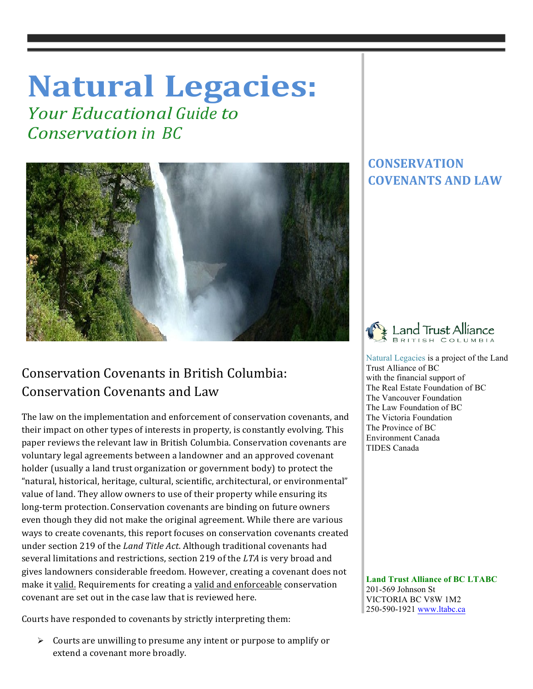## **Natural Legacies:**

*<u>Your Educational Guide to</u> Conservation in BC*



## Conservation Covenants in British Columbia: Conservation Covenants and Law

The law on the implementation and enforcement of conservation covenants, and their impact on other types of interests in property, is constantly evolving. This paper reviews the relevant law in British Columbia. Conservation covenants are voluntary legal agreements between a landowner and an approved covenant holder (usually a land trust organization or government body) to protect the "natural, historical, heritage, cultural, scientific, architectural, or environmental" value of land. They allow owners to use of their property while ensuring its long-term protection. Conservation covenants are binding on future owners even though they did not make the original agreement. While there are various ways to create covenants, this report focuses on conservation covenants created under section 219 of the *Land Title Act*. Although traditional covenants had several limitations and restrictions, section 219 of the LTA is very broad and gives landowners considerable freedom. However, creating a covenant does not make it valid. Requirements for creating a valid and enforceable conservation covenant are set out in the case law that is reviewed here.

Courts have responded to covenants by strictly interpreting them:

 $\triangleright$  Courts are unwilling to presume any intent or purpose to amplify or extend a covenant more broadly.

## **CONSERVATION COVENANTS AND LAW**

 $\mathbb{I}$ 



 Natural Legacies is a project of the Land Trust Alliance of BC with the financial support of The Real Estate Foundation of BC The Vancouver Foundation The Law Foundation of BC The Victoria Foundation The Province of BC Environment Canada TIDES Canada

 **Land Trust Alliance of BC LTABC** 201-569 Johnson St VICTORIA BC V8W 1M2 250-590-1921 www.ltabc.ca